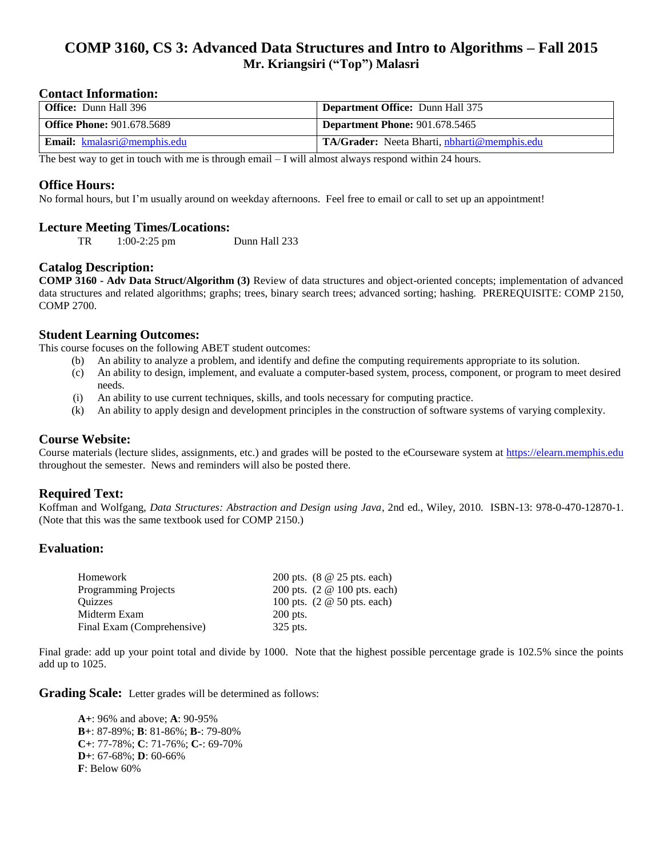# **COMP 3160, CS 3: Advanced Data Structures and Intro to Algorithms – Fall 2015 Mr. Kriangsiri ("Top") Malasri**

#### **Contact Information:**

| <b>Office:</b> Dunn Hall 396       | <b>Department Office:</b> Dunn Hall 375                     |
|------------------------------------|-------------------------------------------------------------|
| <b>Office Phone: 901.678.5689</b>  | <b>Department Phone: 901.678.5465</b>                       |
| <b>Email:</b> kmalasri@memphis.edu | <b>TA/Grader:</b> Neeta Bharti, <i>nbharti</i> @memphis.edu |

The best way to get in touch with me is through email – I will almost always respond within 24 hours.

#### **Office Hours:**

No formal hours, but I'm usually around on weekday afternoons. Feel free to email or call to set up an appointment!

#### **Lecture Meeting Times/Locations:**

TR 1:00-2:25 pm Dunn Hall 233

### **Catalog Description:**

**COMP 3160 - Adv Data Struct/Algorithm (3)** Review of data structures and object-oriented concepts; implementation of advanced data structures and related algorithms; graphs; trees, binary search trees; advanced sorting; hashing. PREREQUISITE: COMP 2150, COMP 2700.

### **Student Learning Outcomes:**

This course focuses on the following ABET student outcomes:

- (b) An ability to analyze a problem, and identify and define the computing requirements appropriate to its solution.
- (c) An ability to design, implement, and evaluate a computer-based system, process, component, or program to meet desired needs.
- (i) An ability to use current techniques, skills, and tools necessary for computing practice.
- (k) An ability to apply design and development principles in the construction of software systems of varying complexity.

### **Course Website:**

Course materials (lecture slides, assignments, etc.) and grades will be posted to the eCourseware system at [https://elearn.memphis.edu](https://elearn.memphis.edu/) throughout the semester. News and reminders will also be posted there.

### **Required Text:**

Koffman and Wolfgang, *Data Structures: Abstraction and Design using Java*, 2nd ed., Wiley, 2010. ISBN-13: 978-0-470-12870-1. (Note that this was the same textbook used for COMP 2150.)

### **Evaluation:**

| Homework                   | 200 pts. (8 @ 25 pts. each)                 |
|----------------------------|---------------------------------------------|
| Programming Projects       | 200 pts. (2 @ 100 pts. each)                |
| <b>Ouizzes</b>             | 100 pts. $(2 \otimes 50 \text{ pts. each})$ |
| Midterm Exam               | $200$ pts.                                  |
| Final Exam (Comprehensive) | 325 pts.                                    |

Final grade: add up your point total and divide by 1000. Note that the highest possible percentage grade is 102.5% since the points add up to 1025.

**Grading Scale:** Letter grades will be determined as follows:

**A+**: 96% and above; **A**: 90-95% **B+**: 87-89%; **B**: 81-86%; **B-**: 79-80% **C+**: 77-78%; **C**: 71-76%; **C-**: 69-70% **D+**: 67-68%; **D**: 60-66% **F**: Below 60%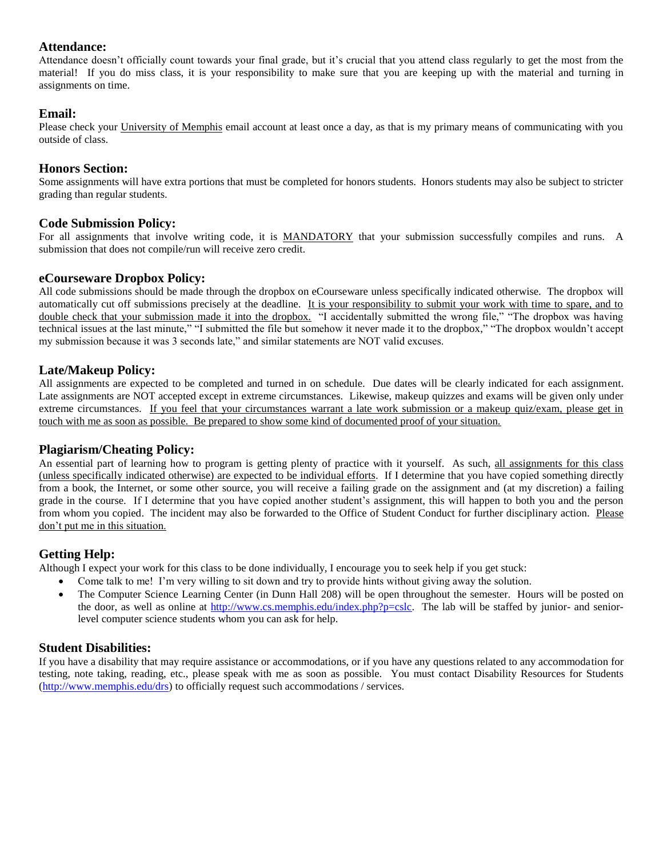### **Attendance:**

Attendance doesn't officially count towards your final grade, but it's crucial that you attend class regularly to get the most from the material! If you do miss class, it is your responsibility to make sure that you are keeping up with the material and turning in assignments on time.

### **Email:**

Please check your University of Memphis email account at least once a day, as that is my primary means of communicating with you outside of class.

### **Honors Section:**

Some assignments will have extra portions that must be completed for honors students. Honors students may also be subject to stricter grading than regular students.

### **Code Submission Policy:**

For all assignments that involve writing code, it is MANDATORY that your submission successfully compiles and runs. A submission that does not compile/run will receive zero credit.

### **eCourseware Dropbox Policy:**

All code submissions should be made through the dropbox on eCourseware unless specifically indicated otherwise. The dropbox will automatically cut off submissions precisely at the deadline. It is your responsibility to submit your work with time to spare, and to double check that your submission made it into the dropbox. "I accidentally submitted the wrong file," "The dropbox was having technical issues at the last minute," "I submitted the file but somehow it never made it to the dropbox," "The dropbox wouldn't accept my submission because it was 3 seconds late," and similar statements are NOT valid excuses.

### **Late/Makeup Policy:**

All assignments are expected to be completed and turned in on schedule. Due dates will be clearly indicated for each assignment. Late assignments are NOT accepted except in extreme circumstances. Likewise, makeup quizzes and exams will be given only under extreme circumstances. If you feel that your circumstances warrant a late work submission or a makeup quiz/exam, please get in touch with me as soon as possible. Be prepared to show some kind of documented proof of your situation.

### **Plagiarism/Cheating Policy:**

An essential part of learning how to program is getting plenty of practice with it yourself. As such, all assignments for this class (unless specifically indicated otherwise) are expected to be individual efforts. If I determine that you have copied something directly from a book, the Internet, or some other source, you will receive a failing grade on the assignment and (at my discretion) a failing grade in the course. If I determine that you have copied another student's assignment, this will happen to both you and the person from whom you copied. The incident may also be forwarded to the Office of Student Conduct for further disciplinary action. Please don't put me in this situation.

### **Getting Help:**

Although I expect your work for this class to be done individually, I encourage you to seek help if you get stuck:

- Come talk to me! I'm very willing to sit down and try to provide hints without giving away the solution.
- The Computer Science Learning Center (in Dunn Hall 208) will be open throughout the semester. Hours will be posted on the door, as well as online at [http://www.cs.memphis.edu/index.php?p=cslc.](http://www.cs.memphis.edu/index.php?p=cslc) The lab will be staffed by junior- and seniorlevel computer science students whom you can ask for help.

### **Student Disabilities:**

If you have a disability that may require assistance or accommodations, or if you have any questions related to any accommodation for testing, note taking, reading, etc., please speak with me as soon as possible. You must contact Disability Resources for Students [\(http://www.memphis.edu/drs\)](http://www.memphis.edu/drs) to officially request such accommodations / services.